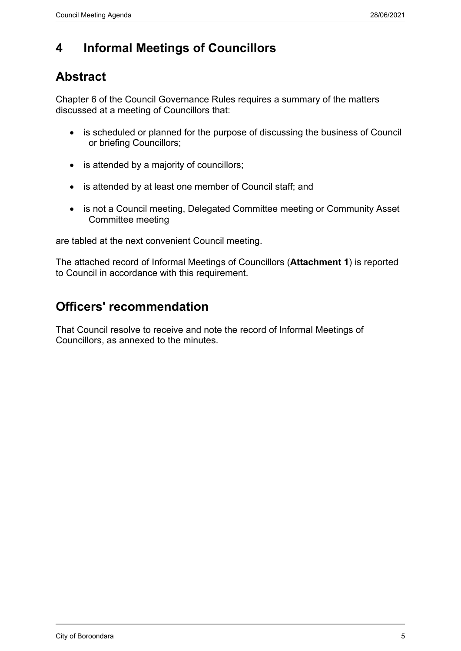### **4 Informal Meetings of Councillors**

### **Abstract**

Chapter 6 of the Council Governance Rules requires a summary of the matters discussed at a meeting of Councillors that:

- is scheduled or planned for the purpose of discussing the business of Council or briefing Councillors;
- is attended by a majority of councillors;
- is attended by at least one member of Council staff; and
- is not a Council meeting, Delegated Committee meeting or Community Asset Committee meeting

are tabled at the next convenient Council meeting.

The attached record of Informal Meetings of Councillors (**Attachment 1**) is reported to Council in accordance with this requirement.

### **Officers' recommendation**

That Council resolve to receive and note the record of Informal Meetings of Councillors, as annexed to the minutes.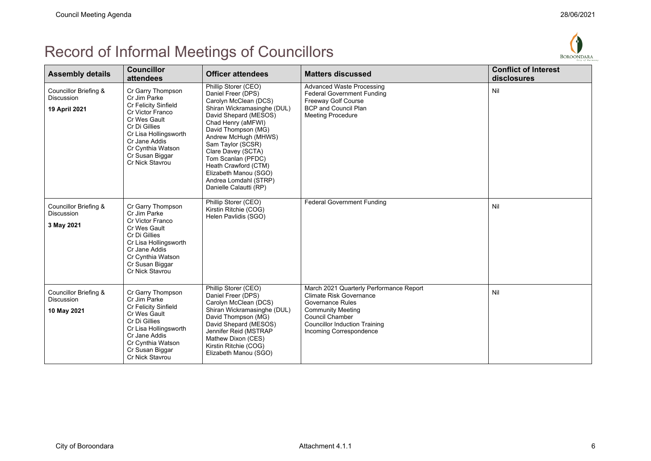# Record of Informal Meetings of Councillors



| <b>Assembly details</b>                                     | <b>Councillor</b><br>attendees                                                                                                                                                                                      | <b>Officer attendees</b>                                                                                                                                                                                                                                                                                                                                              | <b>Matters discussed</b>                                                                                                                                                                                               | <b>Conflict of Interest</b><br>disclosures |
|-------------------------------------------------------------|---------------------------------------------------------------------------------------------------------------------------------------------------------------------------------------------------------------------|-----------------------------------------------------------------------------------------------------------------------------------------------------------------------------------------------------------------------------------------------------------------------------------------------------------------------------------------------------------------------|------------------------------------------------------------------------------------------------------------------------------------------------------------------------------------------------------------------------|--------------------------------------------|
| Councillor Briefing &<br><b>Discussion</b><br>19 April 2021 | Cr Garry Thompson<br>Cr Jim Parke<br>Cr Felicity Sinfield<br>Cr Victor Franco<br>Cr Wes Gault<br>Cr Di Gillies<br>Cr Lisa Hollingsworth<br>Cr Jane Addis<br>Cr Cynthia Watson<br>Cr Susan Biggar<br>Cr Nick Stavrou | Phillip Storer (CEO)<br>Daniel Freer (DPS)<br>Carolyn McClean (DCS)<br>Shiran Wickramasinghe (DUL)<br>David Shepard (MESOS)<br>Chad Henry (aMFWI)<br>David Thompson (MG)<br>Andrew McHugh (MHWS)<br>Sam Taylor (SCSR)<br>Clare Davey (SCTA)<br>Tom Scanlan (PFDC)<br>Heath Crawford (CTM)<br>Elizabeth Manou (SGO)<br>Andrea Lomdahl (STRP)<br>Danielle Calautti (RP) | <b>Advanced Waste Processing</b><br><b>Federal Government Funding</b><br>Freeway Golf Course<br><b>BCP and Council Plan</b><br><b>Meeting Procedure</b>                                                                | Nil                                        |
| Councillor Briefing &<br><b>Discussion</b><br>3 May 2021    | Cr Garry Thompson<br>Cr Jim Parke<br>Cr Victor Franco<br>Cr Wes Gault<br>Cr Di Gillies<br>Cr Lisa Hollingsworth<br>Cr Jane Addis<br>Cr Cynthia Watson<br>Cr Susan Biggar<br>Cr Nick Stavrou                         | Phillip Storer (CEO)<br>Kirstin Ritchie (COG)<br>Helen Pavlidis (SGO)                                                                                                                                                                                                                                                                                                 | <b>Federal Government Funding</b>                                                                                                                                                                                      | Nil                                        |
| Councillor Briefing &<br>Discussion<br>10 May 2021          | Cr Garry Thompson<br>Cr Jim Parke<br>Cr Felicity Sinfield<br>Cr Wes Gault<br>Cr Di Gillies<br>Cr Lisa Hollingsworth<br>Cr Jane Addis<br>Cr Cynthia Watson<br>Cr Susan Biggar<br>Cr Nick Stavrou                     | Phillip Storer (CEO)<br>Daniel Freer (DPS)<br>Carolyn McClean (DCS)<br>Shiran Wickramasinghe (DUL)<br>David Thompson (MG)<br>David Shepard (MESOS)<br>Jennifer Reid (MSTRAP<br>Mathew Dixon (CES)<br>Kirstin Ritchie (COG)<br>Elizabeth Manou (SGO)                                                                                                                   | March 2021 Quarterly Performance Report<br>Climate Risk Governance<br><b>Governance Rules</b><br><b>Community Meeting</b><br><b>Council Chamber</b><br><b>Councillor Induction Training</b><br>Incoming Correspondence | Nil                                        |